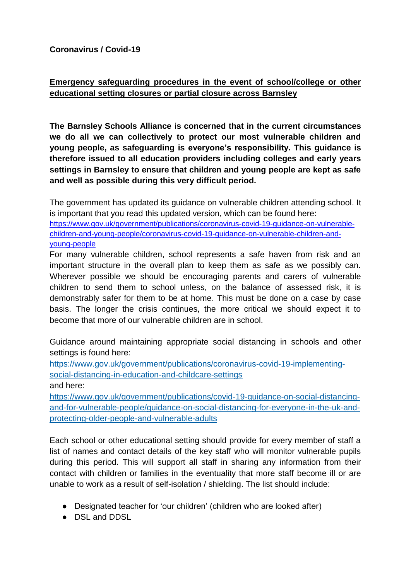**Coronavirus / Covid-19** 

#### **Emergency safeguarding procedures in the event of school/college or other educational setting closures or partial closure across Barnsley**

**The Barnsley Schools Alliance is concerned that in the current circumstances we do all we can collectively to protect our most vulnerable children and young people, as safeguarding is everyone's responsibility. This guidance is therefore issued to all education providers including colleges and early years settings in Barnsley to ensure that children and young people are kept as safe and well as possible during this very difficult period.** 

The government has updated its guidance on vulnerable children attending school. It is important that you read this updated version, which can be found here:

[https://www.gov.uk/government/publications/coronavirus-covid-19-guidance-on-vulnerable](https://www.gov.uk/government/publications/coronavirus-covid-19-guidance-on-vulnerable-children-and-young-people/coronavirus-covid-19-guidance-on-vulnerable-children-and-young-people)[children-and-young-people/coronavirus-covid-19-guidance-on-vulnerable-children-and](https://www.gov.uk/government/publications/coronavirus-covid-19-guidance-on-vulnerable-children-and-young-people/coronavirus-covid-19-guidance-on-vulnerable-children-and-young-people)[young-people](https://www.gov.uk/government/publications/coronavirus-covid-19-guidance-on-vulnerable-children-and-young-people/coronavirus-covid-19-guidance-on-vulnerable-children-and-young-people)

For many vulnerable children, school represents a safe haven from risk and an important structure in the overall plan to keep them as safe as we possibly can. Wherever possible we should be encouraging parents and carers of vulnerable children to send them to school unless, on the balance of assessed risk, it is demonstrably safer for them to be at home. This must be done on a case by case basis. The longer the crisis continues, the more critical we should expect it to become that more of our vulnerable children are in school.

Guidance around maintaining appropriate social distancing in schools and other settings is found here:

[https://www.gov.uk/government/publications/coronavirus-covid-19-implementing](https://www.gov.uk/government/publications/coronavirus-covid-19-implementing-social-distancing-in-education-and-childcare-settings)[social-distancing-in-education-and-childcare-settings](https://www.gov.uk/government/publications/coronavirus-covid-19-implementing-social-distancing-in-education-and-childcare-settings) and here:

[https://www.gov.uk/government/publications/covid-19-guidance-on-social-distancing](https://www.gov.uk/government/publications/covid-19-guidance-on-social-distancing-and-for-vulnerable-people/guidance-on-social-distancing-for-everyone-in-the-uk-and-protecting-older-people-and-vulnerable-adults)[and-for-vulnerable-people/guidance-on-social-distancing-for-everyone-in-the-uk-and](https://www.gov.uk/government/publications/covid-19-guidance-on-social-distancing-and-for-vulnerable-people/guidance-on-social-distancing-for-everyone-in-the-uk-and-protecting-older-people-and-vulnerable-adults)[protecting-older-people-and-vulnerable-adults](https://www.gov.uk/government/publications/covid-19-guidance-on-social-distancing-and-for-vulnerable-people/guidance-on-social-distancing-for-everyone-in-the-uk-and-protecting-older-people-and-vulnerable-adults)

Each school or other educational setting should provide for every member of staff a list of names and contact details of the key staff who will monitor vulnerable pupils during this period. This will support all staff in sharing any information from their contact with children or families in the eventuality that more staff become ill or are unable to work as a result of self-isolation / shielding. The list should include:

- Designated teacher for 'our children' (children who are looked after)
- DSL and DDSL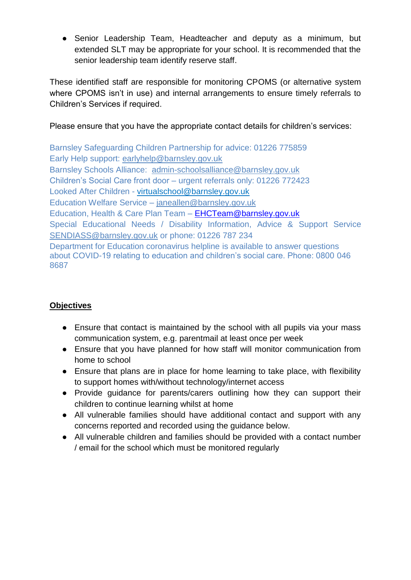● Senior Leadership Team, Headteacher and deputy as a minimum, but extended SLT may be appropriate for your school. It is recommended that the senior leadership team identify reserve staff.

These identified staff are responsible for monitoring CPOMS (or alternative system where CPOMS isn't in use) and internal arrangements to ensure timely referrals to Children's Services if required.

Please ensure that you have the appropriate contact details for children's services:

Barnsley Safeguarding Children Partnership for advice: 01226 775859 Early Help support: [earlyhelp@barnsley.gov.uk](mailto:earlyhelp@barnsley.gov.uk) Barnsley Schools Alliance: [admin-schoolsalliance@barnsley.gov.uk](mailto:admin-schoolsalliance@barnsley.gov.uk)  Children's Social Care front door – urgent referrals only: 01226 772423 Looked After Children - [virtualschool@barnsley.gov.uk](mailto:virtualschool@barnsley.gov.uk) Education Welfare Service – [janeallen@barnsley.gov.uk](mailto:janeallen@barnsley.gov.uk) Education, Health & Care Plan Team – [EHCTeam@barnsley.gov.uk](mailto:EHCTeam@barnsley.gov.uk) Special Educational Needs / Disability Information, Advice & Support Service [SENDIASS@barnsley.gov.uk](mailto:SENDIASS@barnsley.gov.uk) or phone: 01226 787 234 Department for Education coronavirus helpline is available to answer questions about COVID-19 relating to education and children's social care. Phone: 0800 046 8687

# **Objectives**

- Ensure that contact is maintained by the school with all pupils via your mass communication system, e.g. parentmail at least once per week
- Ensure that you have planned for how staff will monitor communication from home to school
- Ensure that plans are in place for home learning to take place, with flexibility to support homes with/without technology/internet access
- Provide guidance for parents/carers outlining how they can support their children to continue learning whilst at home
- All vulnerable families should have additional contact and support with any concerns reported and recorded using the guidance below.
- All vulnerable children and families should be provided with a contact number / email for the school which must be monitored regularly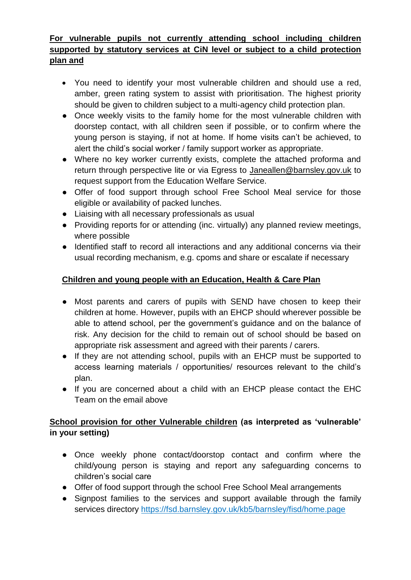### **For vulnerable pupils not currently attending school including children supported by statutory services at CiN level or subject to a child protection plan and**

- You need to identify your most vulnerable children and should use a red, amber, green rating system to assist with prioritisation. The highest priority should be given to children subject to a multi-agency child protection plan.
- Once weekly visits to the family home for the most vulnerable children with doorstep contact, with all children seen if possible, or to confirm where the young person is staying, if not at home. If home visits can't be achieved, to alert the child's social worker / family support worker as appropriate.
- Where no key worker currently exists, complete the attached proforma and return through perspective lite or via Egress to [Janeallen@barnsley.gov.uk](mailto:Janeallen@barnsley.gov.uk) to request support from the Education Welfare Service.
- Offer of food support through school Free School Meal service for those eligible or availability of packed lunches.
- Liaising with all necessary professionals as usual
- Providing reports for or attending (inc. virtually) any planned review meetings, where possible
- Identified staff to record all interactions and any additional concerns via their usual recording mechanism, e.g. cpoms and share or escalate if necessary

# **Children and young people with an Education, Health & Care Plan**

- Most parents and carers of pupils with SEND have chosen to keep their children at home. However, pupils with an EHCP should wherever possible be able to attend school, per the government's guidance and on the balance of risk. Any decision for the child to remain out of school should be based on appropriate risk assessment and agreed with their parents / carers.
- If they are not attending school, pupils with an EHCP must be supported to access learning materials / opportunities/ resources relevant to the child's plan.
- If you are concerned about a child with an EHCP please contact the EHC Team on the email above

# **School provision for other Vulnerable children (as interpreted as 'vulnerable' in your setting)**

- Once weekly phone contact/doorstop contact and confirm where the child/young person is staying and report any safeguarding concerns to children's social care
- Offer of food support through the school Free School Meal arrangements
- Signpost families to the services and support available through the family services directory<https://fsd.barnsley.gov.uk/kb5/barnsley/fisd/home.page>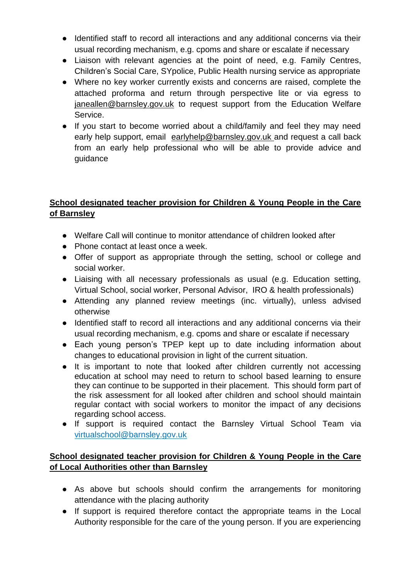- Identified staff to record all interactions and any additional concerns via their usual recording mechanism, e.g. cpoms and share or escalate if necessary
- Liaison with relevant agencies at the point of need, e.g. Family Centres, Children's Social Care, SYpolice, Public Health nursing service as appropriate
- Where no key worker currently exists and concerns are raised, complete the attached proforma and return through perspective lite or via egress to [janeallen@barnsley.gov.uk](mailto:janeallen@barnsley.gov.uk) to request support from the Education Welfare Service.
- If you start to become worried about a child/family and feel they may need early help support, email [earlyhelp@barnsley.gov.uk](mailto:earlyhelp@barnsley.gov.uk) and request a call back from an early help professional who will be able to provide advice and guidance

## **School designated teacher provision for Children & Young People in the Care of Barnsley**

- Welfare Call will continue to monitor attendance of children looked after
- Phone contact at least once a week.
- Offer of support as appropriate through the setting, school or college and social worker.
- Liaising with all necessary professionals as usual (e.g. Education setting, Virtual School, social worker, Personal Advisor, IRO & health professionals)
- Attending any planned review meetings (inc. virtually), unless advised otherwise
- Identified staff to record all interactions and any additional concerns via their usual recording mechanism, e.g. cpoms and share or escalate if necessary
- Each young person's TPEP kept up to date including information about changes to educational provision in light of the current situation.
- It is important to note that looked after children currently not accessing education at school may need to return to school based learning to ensure they can continue to be supported in their placement. This should form part of the risk assessment for all looked after children and school should maintain regular contact with social workers to monitor the impact of any decisions regarding school access.
- If support is required contact the Barnsley Virtual School Team via [virtualschool@barnsley.gov.uk](mailto:virtualschool@barnsley.gov.uk)

#### **School designated teacher provision for Children & Young People in the Care of Local Authorities other than Barnsley**

- As above but schools should confirm the arrangements for monitoring attendance with the placing authority
- If support is required therefore contact the appropriate teams in the Local Authority responsible for the care of the young person. If you are experiencing